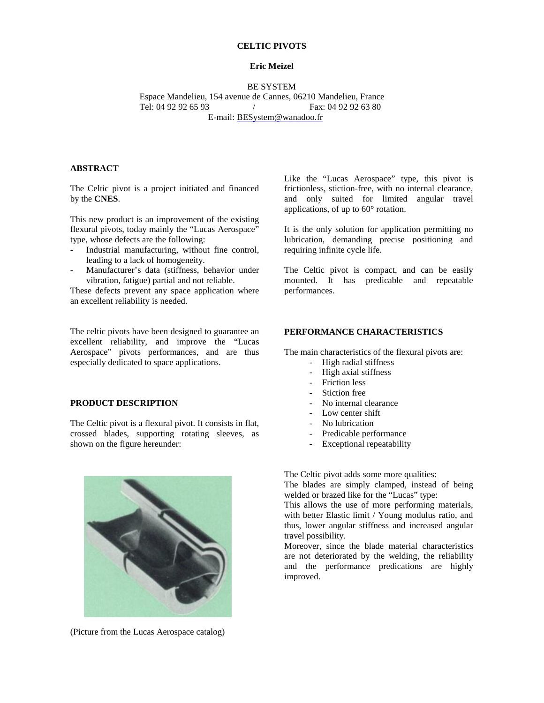#### **CELTIC PIVOTS**

#### **Eric Meizel**

BE SYSTEM Espace Mandelieu, 154 avenue de Cannes, 06210 Mandelieu, France Tel: 04 92 92 65 93 / Fax: 04 92 92 63 80 E-mail: BESystem@wanadoo.fr

### **ABSTRACT**

The Celtic pivot is a project initiated and financed by the **CNES**.

This new product is an improvement of the existing flexural pivots, today mainly the "Lucas Aerospace" type, whose defects are the following:

- Industrial manufacturing, without fine control, leading to a lack of homogeneity.
- Manufacturer's data (stiffness, behavior under vibration, fatigue) partial and not reliable.

These defects prevent any space application where an excellent reliability is needed.

The celtic pivots have been designed to guarantee an excellent reliability, and improve the "Lucas Aerospace" pivots performances, and are thus especially dedicated to space applications.

#### **PRODUCT DESCRIPTION**

The Celtic pivot is a flexural pivot. It consists in flat, crossed blades, supporting rotating sleeves, as shown on the figure hereunder:



(Picture from the Lucas Aerospace catalog)

Like the "Lucas Aerospace" type, this pivot is frictionless, stiction-free, with no internal clearance, and only suited for limited angular travel applications, of up to 60° rotation.

It is the only solution for application permitting no lubrication, demanding precise positioning and requiring infinite cycle life.

The Celtic pivot is compact, and can be easily mounted. It has predicable and repeatable performances.

## **PERFORMANCE CHARACTERISTICS**

The main characteristics of the flexural pivots are:

- High radial stiffness
- High axial stiffness - Friction less
- Stiction free
- No internal clearance
- Low center shift
- No lubrication
- Predicable performance
- Exceptional repeatability

The Celtic pivot adds some more qualities:

The blades are simply clamped, instead of being welded or brazed like for the "Lucas" type:

This allows the use of more performing materials, with better Elastic limit / Young modulus ratio, and thus, lower angular stiffness and increased angular travel possibility.

Moreover, since the blade material characteristics are not deteriorated by the welding, the reliability and the performance predications are highly improved.